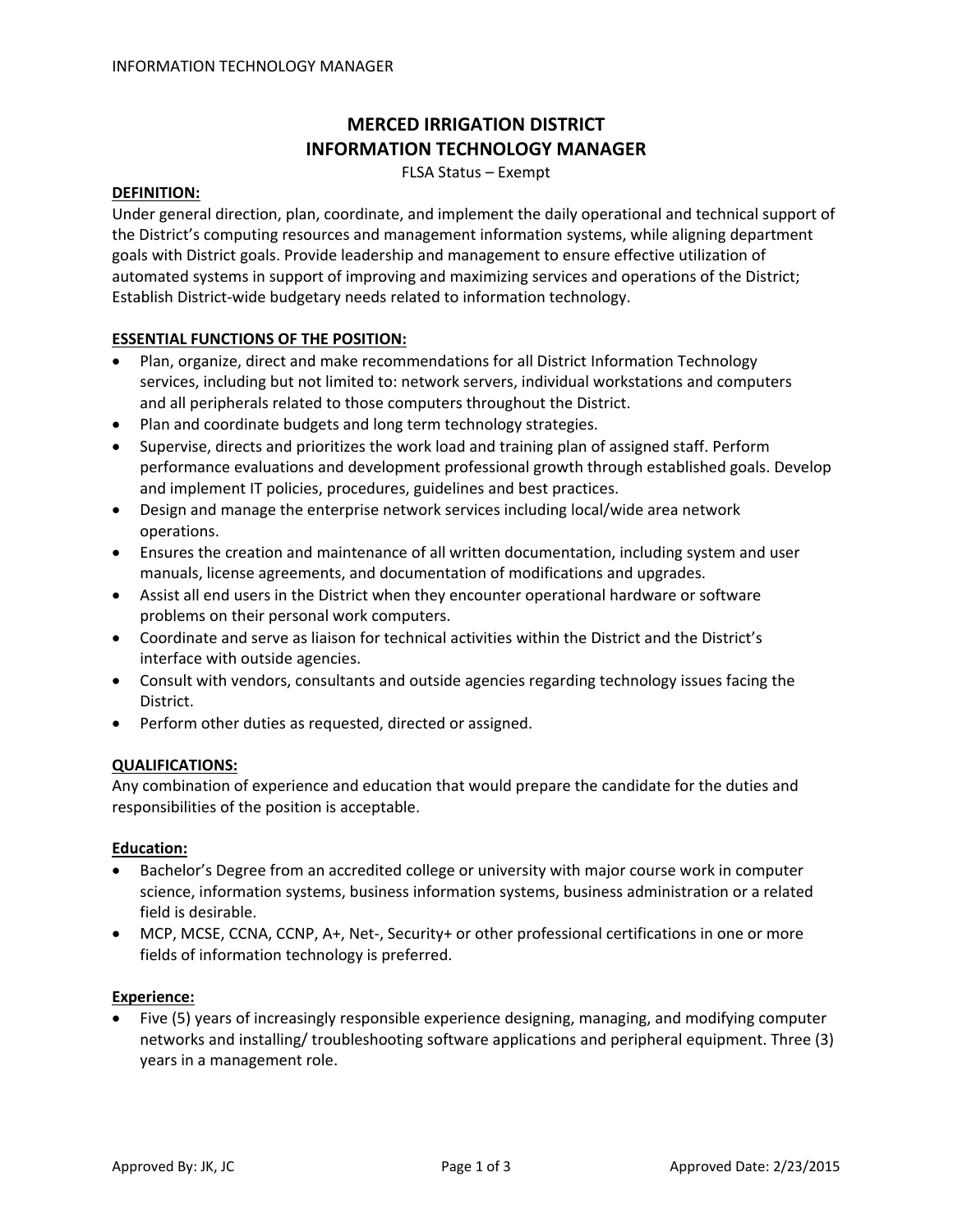# **MERCED IRRIGATION DISTRICT INFORMATION TECHNOLOGY MANAGER**

FLSA Status – Exempt

# **DEFINITION:**

Under general direction, plan, coordinate, and implement the daily operational and technical support of the District's computing resources and management information systems, while aligning department goals with District goals. Provide leadership and management to ensure effective utilization of automated systems in support of improving and maximizing services and operations of the District; Establish District‐wide budgetary needs related to information technology.

# **ESSENTIAL FUNCTIONS OF THE POSITION:**

- Plan, organize, direct and make recommendations for all District Information Technology services, including but not limited to: network servers, individual workstations and computers and all peripherals related to those computers throughout the District.
- Plan and coordinate budgets and long term technology strategies.
- Supervise, directs and prioritizes the work load and training plan of assigned staff. Perform performance evaluations and development professional growth through established goals. Develop and implement IT policies, procedures, guidelines and best practices.
- Design and manage the enterprise network services including local/wide area network operations.
- Ensures the creation and maintenance of all written documentation, including system and user manuals, license agreements, and documentation of modifications and upgrades.
- Assist all end users in the District when they encounter operational hardware or software problems on their personal work computers.
- Coordinate and serve as liaison for technical activities within the District and the District's interface with outside agencies.
- Consult with vendors, consultants and outside agencies regarding technology issues facing the District.
- Perform other duties as requested, directed or assigned.

### **QUALIFICATIONS:**

Any combination of experience and education that would prepare the candidate for the duties and responsibilities of the position is acceptable.

### **Education:**

- Bachelor's Degree from an accredited college or university with major course work in computer science, information systems, business information systems, business administration or a related field is desirable.
- MCP, MCSE, CCNA, CCNP, A+, Net-, Security+ or other professional certifications in one or more fields of information technology is preferred.

# **Experience:**

• Five (5) years of increasingly responsible experience designing, managing, and modifying computer networks and installing/ troubleshooting software applications and peripheral equipment. Three (3) years in a management role.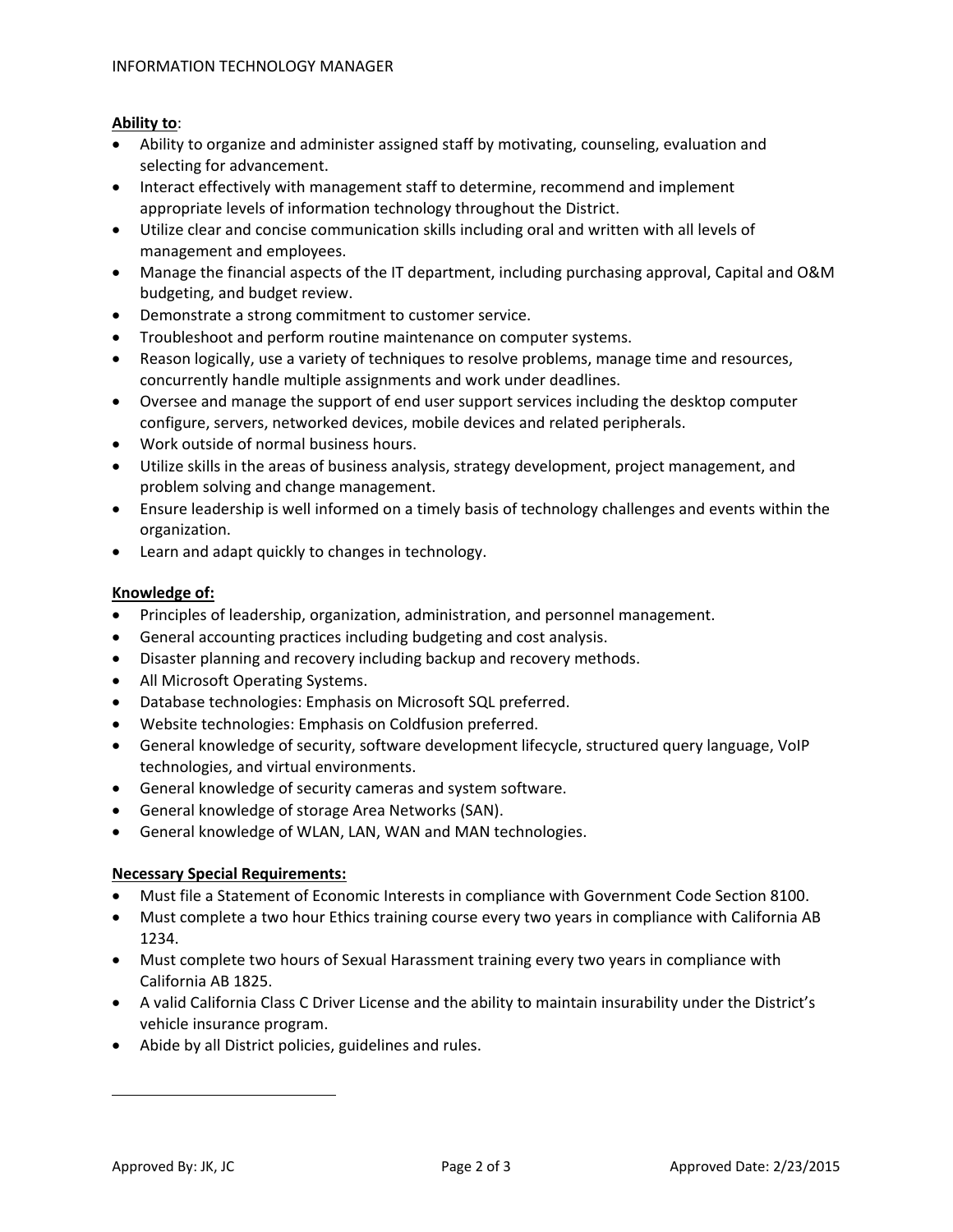# **Ability to**:

- Ability to organize and administer assigned staff by motivating, counseling, evaluation and selecting for advancement.
- Interact effectively with management staff to determine, recommend and implement appropriate levels of information technology throughout the District.
- Utilize clear and concise communication skills including oral and written with all levels of management and employees.
- Manage the financial aspects of the IT department, including purchasing approval, Capital and O&M budgeting, and budget review.
- Demonstrate a strong commitment to customer service.
- Troubleshoot and perform routine maintenance on computer systems.
- Reason logically, use a variety of techniques to resolve problems, manage time and resources, concurrently handle multiple assignments and work under deadlines.
- Oversee and manage the support of end user support services including the desktop computer configure, servers, networked devices, mobile devices and related peripherals.
- Work outside of normal business hours.
- Utilize skills in the areas of business analysis, strategy development, project management, and problem solving and change management.
- Ensure leadership is well informed on a timely basis of technology challenges and events within the organization.
- Learn and adapt quickly to changes in technology.

# **Knowledge of:**

- Principles of leadership, organization, administration, and personnel management.
- General accounting practices including budgeting and cost analysis.
- Disaster planning and recovery including backup and recovery methods.
- All Microsoft Operating Systems.
- Database technologies: Emphasis on Microsoft SQL preferred.
- Website technologies: Emphasis on Coldfusion preferred.
- General knowledge of security, software development lifecycle, structured query language, VoIP technologies, and virtual environments.
- General knowledge of security cameras and system software.
- General knowledge of storage Area Networks (SAN).
- General knowledge of WLAN, LAN, WAN and MAN technologies.

### **Necessary Special Requirements:**

- Must file a Statement of Economic Interests in compliance with Government Code Section 8100.
- Must complete a two hour Ethics training course every two years in compliance with California AB 1234.
- Must complete two hours of Sexual Harassment training every two years in compliance with California AB 1825.
- A valid California Class C Driver License and the ability to maintain insurability under the District's vehicle insurance program.
- Abide by all District policies, guidelines and rules.